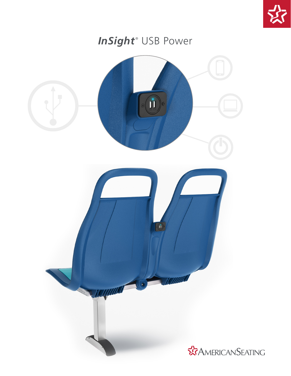

## InSight<sup>®</sup> USB Power